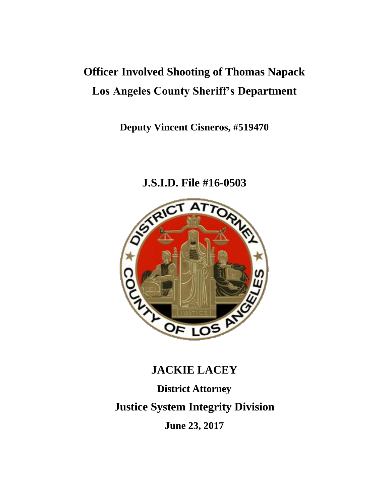## **Officer Involved Shooting of Thomas Napack Los Angeles County Sheriff's Department**

**Deputy Vincent Cisneros, #519470**



### **J.S.I.D. File #16-0503**

## **JACKIE LACEY**

# **District Attorney Justice System Integrity Division**

**June 23, 2017**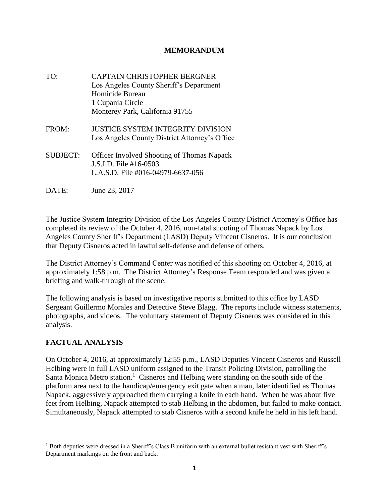#### **MEMORANDUM**

- TO: CAPTAIN CHRISTOPHER BERGNER Los Angeles County Sheriff's Department Homicide Bureau 1 Cupania Circle Monterey Park, California 91755
- FROM: JUSTICE SYSTEM INTEGRITY DIVISION Los Angeles County District Attorney's Office
- SUBJECT: Officer Involved Shooting of Thomas Napack J.S.I.D. File #16-0503 L.A.S.D. File #016-04979-6637-056
- DATE: June 23, 2017

The Justice System Integrity Division of the Los Angeles County District Attorney's Office has completed its review of the October 4, 2016, non-fatal shooting of Thomas Napack by Los Angeles County Sheriff's Department (LASD) Deputy Vincent Cisneros. It is our conclusion that Deputy Cisneros acted in lawful self-defense and defense of others.

The District Attorney's Command Center was notified of this shooting on October 4, 2016, at approximately 1:58 p.m. The District Attorney's Response Team responded and was given a briefing and walk-through of the scene.

The following analysis is based on investigative reports submitted to this office by LASD Sergeant Guillermo Morales and Detective Steve Blagg. The reports include witness statements, photographs, and videos. The voluntary statement of Deputy Cisneros was considered in this analysis.

#### **FACTUAL ANALYSIS**

On October 4, 2016, at approximately 12:55 p.m., LASD Deputies Vincent Cisneros and Russell Helbing were in full LASD uniform assigned to the Transit Policing Division, patrolling the Santa Monica Metro station.<sup>1</sup> Cisneros and Helbing were standing on the south side of the platform area next to the handicap/emergency exit gate when a man, later identified as Thomas Napack, aggressively approached them carrying a knife in each hand. When he was about five feet from Helbing, Napack attempted to stab Helbing in the abdomen, but failed to make contact. Simultaneously, Napack attempted to stab Cisneros with a second knife he held in his left hand.

<sup>&</sup>lt;sup>1</sup> Both deputies were dressed in a Sheriff's Class B uniform with an external bullet resistant vest with Sheriff's Department markings on the front and back.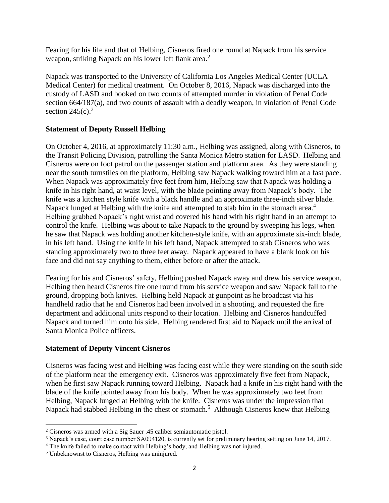Fearing for his life and that of Helbing, Cisneros fired one round at Napack from his service weapon, striking Napack on his lower left flank area.<sup>2</sup>

Napack was transported to the University of California Los Angeles Medical Center (UCLA Medical Center) for medical treatment. On October 8, 2016, Napack was discharged into the custody of LASD and booked on two counts of attempted murder in violation of Penal Code section 664/187(a), and two counts of assault with a deadly weapon, in violation of Penal Code section  $245(c).$ <sup>3</sup>

#### **Statement of Deputy Russell Helbing**

On October 4, 2016, at approximately 11:30 a.m., Helbing was assigned, along with Cisneros, to the Transit Policing Division, patrolling the Santa Monica Metro station for LASD. Helbing and Cisneros were on foot patrol on the passenger station and platform area. As they were standing near the south turnstiles on the platform, Helbing saw Napack walking toward him at a fast pace. When Napack was approximately five feet from him, Helbing saw that Napack was holding a knife in his right hand, at waist level, with the blade pointing away from Napack's body. The knife was a kitchen style knife with a black handle and an approximate three-inch silver blade. Napack lunged at Helbing with the knife and attempted to stab him in the stomach area.<sup>4</sup> Helbing grabbed Napack's right wrist and covered his hand with his right hand in an attempt to control the knife. Helbing was about to take Napack to the ground by sweeping his legs, when he saw that Napack was holding another kitchen-style knife, with an approximate six-inch blade, in his left hand. Using the knife in his left hand, Napack attempted to stab Cisneros who was standing approximately two to three feet away. Napack appeared to have a blank look on his face and did not say anything to them, either before or after the attack.

Fearing for his and Cisneros' safety, Helbing pushed Napack away and drew his service weapon. Helbing then heard Cisneros fire one round from his service weapon and saw Napack fall to the ground, dropping both knives. Helbing held Napack at gunpoint as he broadcast via his handheld radio that he and Cisneros had been involved in a shooting, and requested the fire department and additional units respond to their location. Helbing and Cisneros handcuffed Napack and turned him onto his side. Helbing rendered first aid to Napack until the arrival of Santa Monica Police officers.

#### **Statement of Deputy Vincent Cisneros**

Cisneros was facing west and Helbing was facing east while they were standing on the south side of the platform near the emergency exit. Cisneros was approximately five feet from Napack, when he first saw Napack running toward Helbing. Napack had a knife in his right hand with the blade of the knife pointed away from his body. When he was approximately two feet from Helbing, Napack lunged at Helbing with the knife. Cisneros was under the impression that Napack had stabbed Helbing in the chest or stomach.<sup>5</sup> Although Cisneros knew that Helbing

<sup>&</sup>lt;sup>2</sup> Cisneros was armed with a Sig Sauer .45 caliber semiautomatic pistol.

<sup>3</sup> Napack's case, court case number SA094120, is currently set for preliminary hearing setting on June 14, 2017.

<sup>&</sup>lt;sup>4</sup> The knife failed to make contact with Helbing's body, and Helbing was not injured.

<sup>5</sup> Unbeknownst to Cisneros, Helbing was uninjured.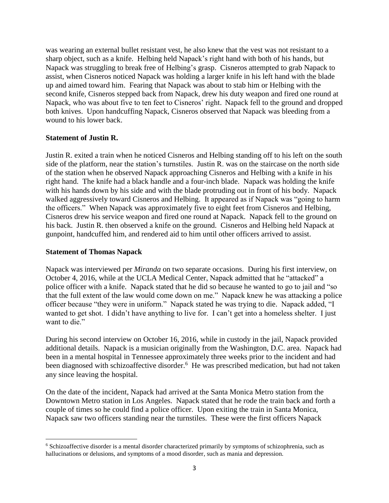was wearing an external bullet resistant vest, he also knew that the vest was not resistant to a sharp object, such as a knife. Helbing held Napack's right hand with both of his hands, but Napack was struggling to break free of Helbing's grasp. Cisneros attempted to grab Napack to assist, when Cisneros noticed Napack was holding a larger knife in his left hand with the blade up and aimed toward him. Fearing that Napack was about to stab him or Helbing with the second knife, Cisneros stepped back from Napack, drew his duty weapon and fired one round at Napack, who was about five to ten feet to Cisneros' right. Napack fell to the ground and dropped both knives. Upon handcuffing Napack, Cisneros observed that Napack was bleeding from a wound to his lower back.

#### **Statement of Justin R.**

Justin R. exited a train when he noticed Cisneros and Helbing standing off to his left on the south side of the platform, near the station's turnstiles. Justin R. was on the staircase on the north side of the station when he observed Napack approaching Cisneros and Helbing with a knife in his right hand. The knife had a black handle and a four-inch blade. Napack was holding the knife with his hands down by his side and with the blade protruding out in front of his body. Napack walked aggressively toward Cisneros and Helbing. It appeared as if Napack was "going to harm the officers." When Napack was approximately five to eight feet from Cisneros and Helbing, Cisneros drew his service weapon and fired one round at Napack. Napack fell to the ground on his back. Justin R. then observed a knife on the ground. Cisneros and Helbing held Napack at gunpoint, handcuffed him, and rendered aid to him until other officers arrived to assist.

#### **Statement of Thomas Napack**

Napack was interviewed per *Miranda* on two separate occasions. During his first interview, on October 4, 2016, while at the UCLA Medical Center, Napack admitted that he "attacked" a police officer with a knife. Napack stated that he did so because he wanted to go to jail and "so that the full extent of the law would come down on me." Napack knew he was attacking a police officer because "they were in uniform." Napack stated he was trying to die. Napack added, "I wanted to get shot. I didn't have anything to live for. I can't get into a homeless shelter. I just want to die."

During his second interview on October 16, 2016, while in custody in the jail, Napack provided additional details. Napack is a musician originally from the Washington, D.C. area. Napack had been in a mental hospital in Tennessee approximately three weeks prior to the incident and had been diagnosed with schizoaffective disorder.<sup>6</sup> He was prescribed medication, but had not taken any since leaving the hospital.

On the date of the incident, Napack had arrived at the Santa Monica Metro station from the Downtown Metro station in Los Angeles. Napack stated that he rode the train back and forth a couple of times so he could find a police officer. Upon exiting the train in Santa Monica, Napack saw two officers standing near the turnstiles. These were the first officers Napack

<sup>6</sup> Schizoaffective disorder is a mental disorder characterized primarily by symptoms of schizophrenia, such as hallucinations or delusions, and symptoms of a mood disorder, such as mania and depression.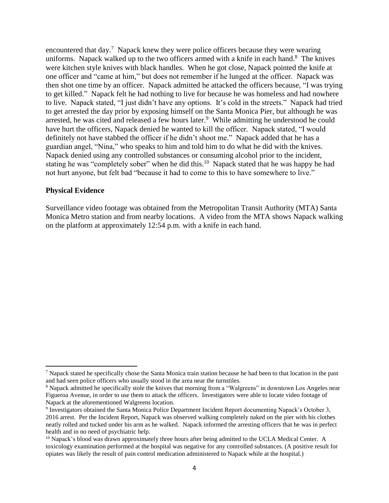encountered that day.<sup>7</sup> Napack knew they were police officers because they were wearing uniforms. Napack walked up to the two officers armed with a knife in each hand. $8$  The knives were kitchen style knives with black handles. When he got close, Napack pointed the knife at one officer and "came at him," but does not remember if he lunged at the officer. Napack was then shot one time by an officer. Napack admitted he attacked the officers because, "I was trying to get killed." Napack felt he had nothing to live for because he was homeless and had nowhere to live. Napack stated, "I just didn't have any options. It's cold in the streets." Napack had tried to get arrested the day prior by exposing himself on the Santa Monica Pier, but although he was arrested, he was cited and released a few hours later.<sup>9</sup> While admitting he understood he could have hurt the officers, Napack denied he wanted to kill the officer. Napack stated, "I would definitely not have stabbed the officer if he didn't shoot me." Napack added that he has a guardian angel, "Nina," who speaks to him and told him to do what he did with the knives. Napack denied using any controlled substances or consuming alcohol prior to the incident, stating he was "completely sober" when he did this.<sup>10</sup> Napack stated that he was happy he had not hurt anyone, but felt bad "because it had to come to this to have somewhere to live."

#### **Physical Evidence**

 $\overline{a}$ 

Surveillance video footage was obtained from the Metropolitan Transit Authority (MTA) Santa Monica Metro station and from nearby locations. A video from the MTA shows Napack walking on the platform at approximately 12:54 p.m. with a knife in each hand.

 $<sup>7</sup>$  Napack stated he specifically chose the Santa Monica train station because he had been to that location in the past</sup> and had seen police officers who usually stood in the area near the turnstiles.

<sup>&</sup>lt;sup>8</sup> Napack admitted he specifically stole the knives that morning from a "Walgreens" in downtown Los Angeles near Figueroa Avenue, in order to use them to attack the officers. Investigators were able to locate video footage of Napack at the aforementioned Walgreens location.

<sup>9</sup> Investigators obtained the Santa Monica Police Department Incident Report documenting Napack's October 3, 2016 arrest. Per the Incident Report, Napack was observed walking completely naked on the pier with his clothes neatly rolled and tucked under his arm as he walked. Napack informed the arresting officers that he was in perfect health and in no need of psychiatric help.

<sup>&</sup>lt;sup>10</sup> Napack's blood was drawn approximately three hours after being admitted to the UCLA Medical Center. A toxicology examination performed at the hospital was negative for any controlled substances. (A positive result for opiates was likely the result of pain control medication administered to Napack while at the hospital.)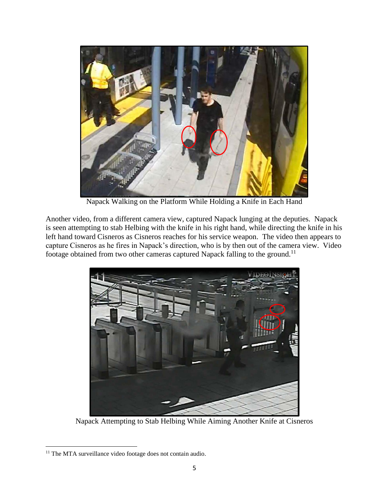

Napack Walking on the Platform While Holding a Knife in Each Hand

Another video, from a different camera view, captured Napack lunging at the deputies. Napack is seen attempting to stab Helbing with the knife in his right hand, while directing the knife in his left hand toward Cisneros as Cisneros reaches for his service weapon. The video then appears to capture Cisneros as he fires in Napack's direction, who is by then out of the camera view. Video footage obtained from two other cameras captured Napack falling to the ground.<sup>11</sup>



Napack Attempting to Stab Helbing While Aiming Another Knife at Cisneros

<sup>&</sup>lt;sup>11</sup> The MTA surveillance video footage does not contain audio.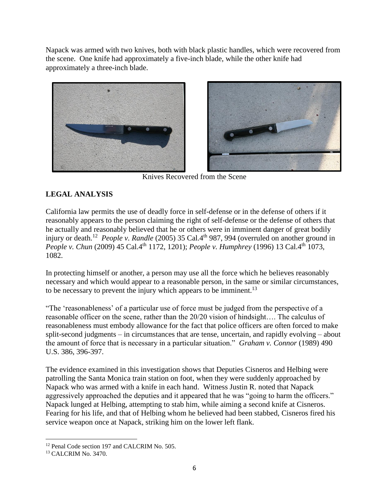Napack was armed with two knives, both with black plastic handles, which were recovered from the scene. One knife had approximately a five-inch blade, while the other knife had approximately a three-inch blade.



Knives Recovered from the Scene

#### **LEGAL ANALYSIS**

California law permits the use of deadly force in self-defense or in the defense of others if it reasonably appears to the person claiming the right of self-defense or the defense of others that he actually and reasonably believed that he or others were in imminent danger of great bodily injury or death.<sup>12</sup> *People v. Randle* (2005) 35 Cal.4<sup>th</sup> 987, 994 (overruled on another ground in *People v. Chun* (2009) 45 Cal.4<sup>th</sup> 1172, 1201); *People v. Humphrey* (1996) 13 Cal.4<sup>th</sup> 1073, 1082.

In protecting himself or another, a person may use all the force which he believes reasonably necessary and which would appear to a reasonable person, in the same or similar circumstances, to be necessary to prevent the injury which appears to be imminent.<sup>13</sup>

"The 'reasonableness' of a particular use of force must be judged from the perspective of a reasonable officer on the scene, rather than the 20/20 vision of hindsight…. The calculus of reasonableness must embody allowance for the fact that police officers are often forced to make split-second judgments – in circumstances that are tense, uncertain, and rapidly evolving – about the amount of force that is necessary in a particular situation." *Graham v. Connor* (1989) 490 U.S. 386, 396-397.

The evidence examined in this investigation shows that Deputies Cisneros and Helbing were patrolling the Santa Monica train station on foot, when they were suddenly approached by Napack who was armed with a knife in each hand. Witness Justin R. noted that Napack aggressively approached the deputies and it appeared that he was "going to harm the officers." Napack lunged at Helbing, attempting to stab him, while aiming a second knife at Cisneros. Fearing for his life, and that of Helbing whom he believed had been stabbed, Cisneros fired his service weapon once at Napack, striking him on the lower left flank.

<sup>&</sup>lt;sup>12</sup> Penal Code section 197 and CALCRIM No. 505.

<sup>13</sup> CALCRIM No. 3470.